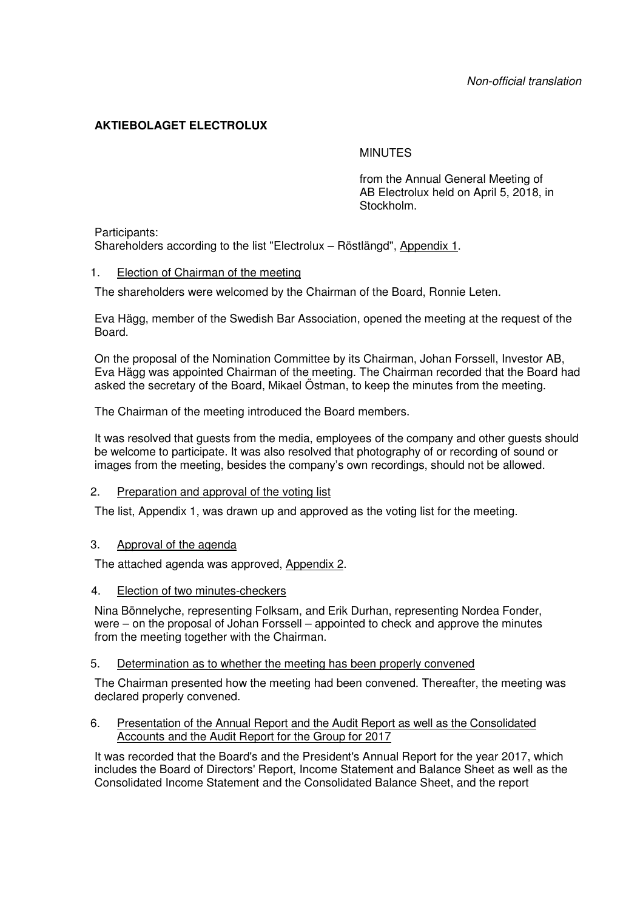# **AKTIEBOLAGET ELECTROLUX**

# **MINUTES**

from the Annual General Meeting of AB Electrolux held on April 5, 2018, in Stockholm.

Participants:

Shareholders according to the list "Electrolux – Röstlängd", Appendix 1.

# 1. Election of Chairman of the meeting

The shareholders were welcomed by the Chairman of the Board, Ronnie Leten.

Eva Hägg, member of the Swedish Bar Association, opened the meeting at the request of the Board.

On the proposal of the Nomination Committee by its Chairman, Johan Forssell, Investor AB, Eva Hägg was appointed Chairman of the meeting. The Chairman recorded that the Board had asked the secretary of the Board, Mikael Östman, to keep the minutes from the meeting.

The Chairman of the meeting introduced the Board members.

It was resolved that guests from the media, employees of the company and other guests should be welcome to participate. It was also resolved that photography of or recording of sound or images from the meeting, besides the company's own recordings, should not be allowed.

#### 2. Preparation and approval of the voting list

The list, Appendix 1, was drawn up and approved as the voting list for the meeting.

#### 3. Approval of the agenda

The attached agenda was approved, Appendix 2.

#### 4. Election of two minutes-checkers

Nina Bönnelyche, representing Folksam, and Erik Durhan, representing Nordea Fonder, were – on the proposal of Johan Forssell – appointed to check and approve the minutes from the meeting together with the Chairman.

#### 5. Determination as to whether the meeting has been properly convened

The Chairman presented how the meeting had been convened. Thereafter, the meeting was declared properly convened.

# 6. Presentation of the Annual Report and the Audit Report as well as the Consolidated Accounts and the Audit Report for the Group for 2017

It was recorded that the Board's and the President's Annual Report for the year 2017, which includes the Board of Directors' Report, Income Statement and Balance Sheet as well as the Consolidated Income Statement and the Consolidated Balance Sheet, and the report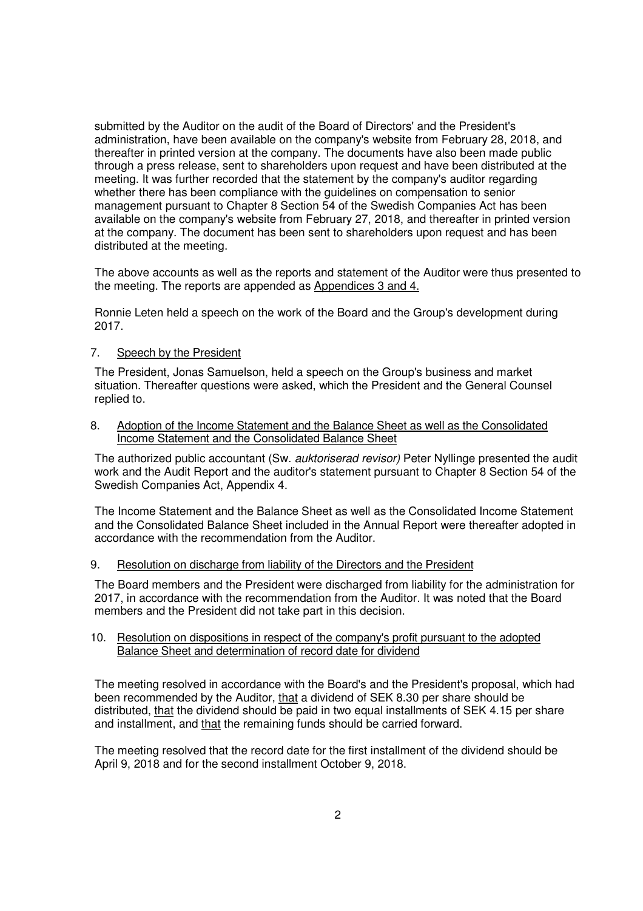submitted by the Auditor on the audit of the Board of Directors' and the President's administration, have been available on the company's website from February 28, 2018, and thereafter in printed version at the company. The documents have also been made public through a press release, sent to shareholders upon request and have been distributed at the meeting. It was further recorded that the statement by the company's auditor regarding whether there has been compliance with the guidelines on compensation to senior management pursuant to Chapter 8 Section 54 of the Swedish Companies Act has been available on the company's website from February 27, 2018, and thereafter in printed version at the company. The document has been sent to shareholders upon request and has been distributed at the meeting.

The above accounts as well as the reports and statement of the Auditor were thus presented to the meeting. The reports are appended as Appendices 3 and 4.

Ronnie Leten held a speech on the work of the Board and the Group's development during 2017.

#### 7. Speech by the President

The President, Jonas Samuelson, held a speech on the Group's business and market situation. Thereafter questions were asked, which the President and the General Counsel replied to.

8. Adoption of the Income Statement and the Balance Sheet as well as the Consolidated Income Statement and the Consolidated Balance Sheet

The authorized public accountant (Sw. *auktoriserad revisor*) Peter Nyllinge presented the audit work and the Audit Report and the auditor's statement pursuant to Chapter 8 Section 54 of the Swedish Companies Act, Appendix 4.

The Income Statement and the Balance Sheet as well as the Consolidated Income Statement and the Consolidated Balance Sheet included in the Annual Report were thereafter adopted in accordance with the recommendation from the Auditor.

#### 9. Resolution on discharge from liability of the Directors and the President

The Board members and the President were discharged from liability for the administration for 2017, in accordance with the recommendation from the Auditor. It was noted that the Board members and the President did not take part in this decision.

#### 10. Resolution on dispositions in respect of the company's profit pursuant to the adopted Balance Sheet and determination of record date for dividend

The meeting resolved in accordance with the Board's and the President's proposal, which had been recommended by the Auditor, that a dividend of SEK 8.30 per share should be distributed, that the dividend should be paid in two equal installments of SEK 4.15 per share and installment, and that the remaining funds should be carried forward.

The meeting resolved that the record date for the first installment of the dividend should be April 9, 2018 and for the second installment October 9, 2018.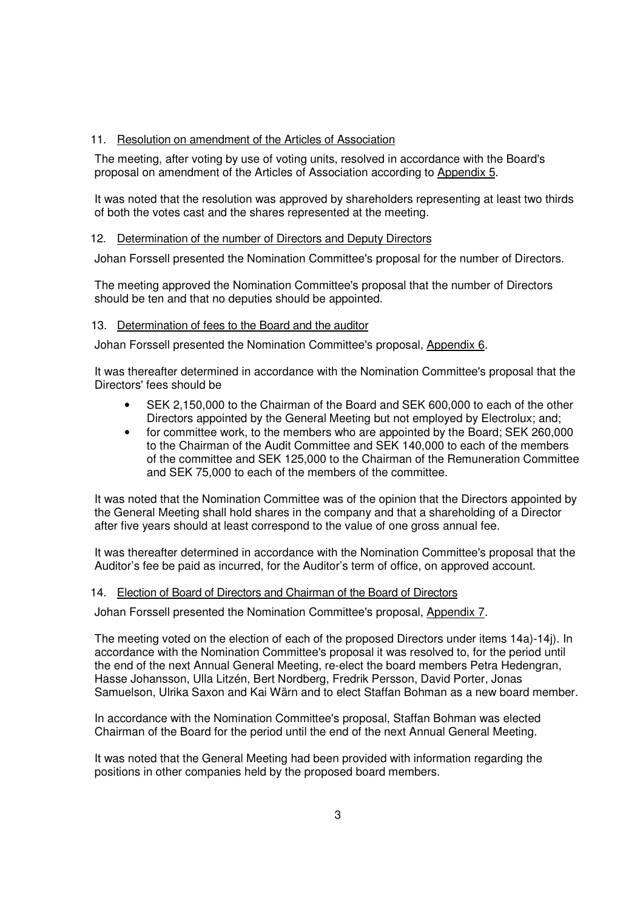# 11. Resolution on amendment of the Articles of Association

The meeting, after voting by use of voting units, resolved in accordance with the Board's proposal on amendment of the Articles of Association according to Appendix 5.

It was noted that the resolution was approved by shareholders representing at least two thirds of both the votes cast and the shares represented at the meeting.

# 12. Determination of the number of Directors and Deputy Directors

Johan Forssell presented the Nomination Committee's proposal for the number of Directors.

The meeting approved the Nomination Committee's proposal that the number of Directors should be ten and that no deputies should be appointed.

# 13. Determination of fees to the Board and the auditor

Johan Forssell presented the Nomination Committee's proposal, Appendix 6.

It was thereafter determined in accordance with the Nomination Committee's proposal that the Directors' fees should be

- SEK 2,150,000 to the Chairman of the Board and SEK 600,000 to each of the other Directors appointed by the General Meeting but not employed by Electrolux; and;
- for committee work, to the members who are appointed by the Board; SEK 260,000 to the Chairman of the Audit Committee and SEK 140,000 to each of the members of the committee and SEK 125,000 to the Chairman of the Remuneration Committee and SEK 75,000 to each of the members of the committee.

It was noted that the Nomination Committee was of the opinion that the Directors appointed by the General Meeting shall hold shares in the company and that a shareholding of a Director after five years should at least correspond to the value of one gross annual fee.

It was thereafter determined in accordance with the Nomination Committee's proposal that the Auditor's fee be paid as incurred, for the Auditor's term of office, on approved account.

#### 14. Election of Board of Directors and Chairman of the Board of Directors

Johan Forssell presented the Nomination Committee's proposal, Appendix 7.

The meeting voted on the election of each of the proposed Directors under items 14a)-14j). In accordance with the Nomination Committee's proposal it was resolved to, for the period until the end of the next Annual General Meeting, re-elect the board members Petra Hedengran, Hasse Johansson, Ulla Litzén, Bert Nordberg, Fredrik Persson, David Porter, Jonas Samuelson, Ulrika Saxon and Kai Wärn and to elect Staffan Bohman as a new board member.

In accordance with the Nomination Committee's proposal, Staffan Bohman was elected Chairman of the Board for the period until the end of the next Annual General Meeting.

It was noted that the General Meeting had been provided with information regarding the positions in other companies held by the proposed board members.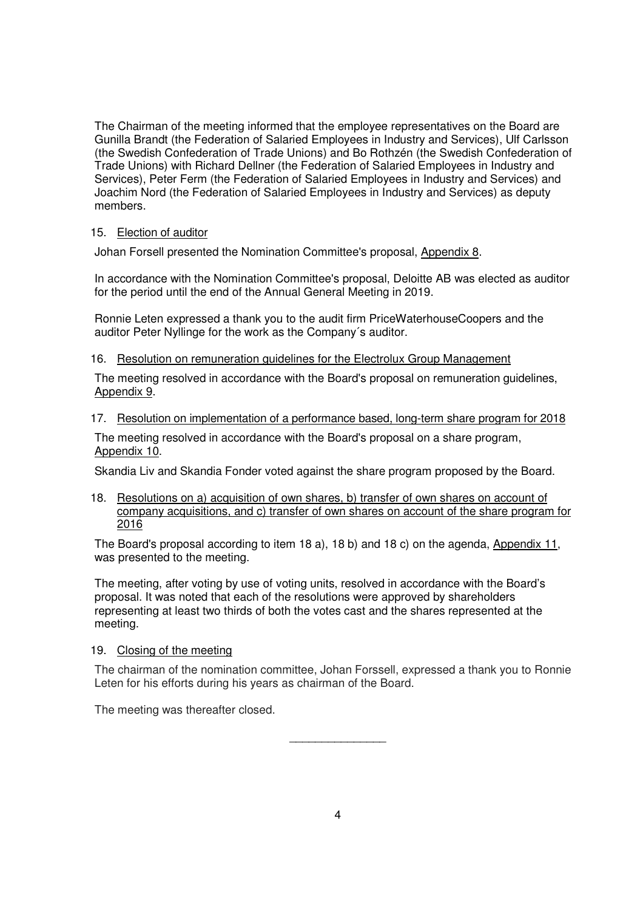The Chairman of the meeting informed that the employee representatives on the Board are Gunilla Brandt (the Federation of Salaried Employees in Industry and Services), Ulf Carlsson (the Swedish Confederation of Trade Unions) and Bo Rothzén (the Swedish Confederation of Trade Unions) with Richard Dellner (the Federation of Salaried Employees in Industry and Services), Peter Ferm (the Federation of Salaried Employees in Industry and Services) and Joachim Nord (the Federation of Salaried Employees in Industry and Services) as deputy members.

# 15. Election of auditor

Johan Forsell presented the Nomination Committee's proposal, Appendix 8.

In accordance with the Nomination Committee's proposal, Deloitte AB was elected as auditor for the period until the end of the Annual General Meeting in 2019.

Ronnie Leten expressed a thank you to the audit firm PriceWaterhouseCoopers and the auditor Peter Nyllinge for the work as the Company´s auditor.

#### 16. Resolution on remuneration guidelines for the Electrolux Group Management

The meeting resolved in accordance with the Board's proposal on remuneration guidelines, Appendix 9.

#### 17. Resolution on implementation of a performance based, long-term share program for 2018

The meeting resolved in accordance with the Board's proposal on a share program, Appendix 10.

Skandia Liv and Skandia Fonder voted against the share program proposed by the Board.

18. Resolutions on a) acquisition of own shares, b) transfer of own shares on account of company acquisitions, and c) transfer of own shares on account of the share program for 2016

The Board's proposal according to item 18 a), 18 b) and 18 c) on the agenda, Appendix 11, was presented to the meeting.

The meeting, after voting by use of voting units, resolved in accordance with the Board's proposal. It was noted that each of the resolutions were approved by shareholders representing at least two thirds of both the votes cast and the shares represented at the meeting.

#### 19. Closing of the meeting

The chairman of the nomination committee, Johan Forssell, expressed a thank you to Ronnie Leten for his efforts during his years as chairman of the Board.

The meeting was thereafter closed.

 $\overline{\phantom{a}}$  , which is a set of the set of the set of the set of the set of the set of the set of the set of the set of the set of the set of the set of the set of the set of the set of the set of the set of the set of th